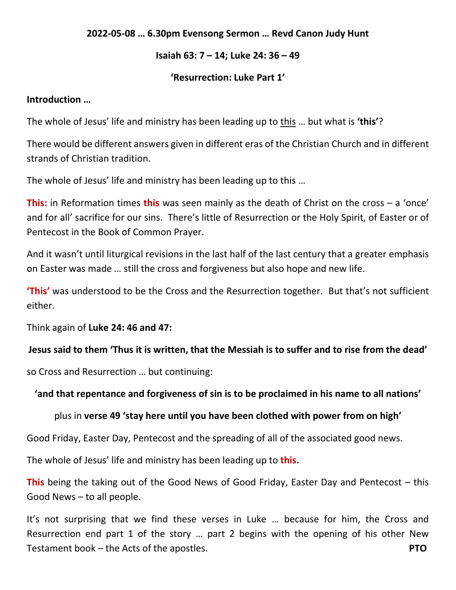### **2022-05-08 … 6.30pm Evensong Sermon … Revd Canon Judy Hunt**

### **Isaiah 63: 7 – 14; Luke 24: 36 – 49**

### **'Resurrection: Luke Part 1'**

### **Introduction …**

The whole of Jesus' life and ministry has been leading up to this … but what is **'this'**?

There would be different answers given in different eras of the Christian Church and in different strands of Christian tradition.

The whole of Jesus' life and ministry has been leading up to this …

**This:** in Reformation times **this** was seen mainly as the death of Christ on the cross – a 'once' and for all' sacrifice for our sins. There's little of Resurrection or the Holy Spirit, of Easter or of Pentecost in the Book of Common Prayer.

And it wasn't until liturgical revisions in the last half of the last century that a greater emphasis on Easter was made … still the cross and forgiveness but also hope and new life.

**'This'** was understood to be the Cross and the Resurrection together. But that's not sufficient either.

Think again of **Luke 24: 46 and 47:**

## **Jesus said to them 'Thus it is written, that the Messiah is to suffer and to rise from the dead'**

so Cross and Resurrection … but continuing:

## **'and that repentance and forgiveness of sin is to be proclaimed in his name to all nations'**

## plus in **verse 49 'stay here until you have been clothed with power from on high'**

Good Friday, Easter Day, Pentecost and the spreading of all of the associated good news.

The whole of Jesus' life and ministry has been leading up to **this.**

**This** being the taking out of the Good News of Good Friday, Easter Day and Pentecost – this Good News – to all people.

It's not surprising that we find these verses in Luke … because for him, the Cross and Resurrection end part 1 of the story … part 2 begins with the opening of his other New Testament book – the Acts of the apostles. **PTO**